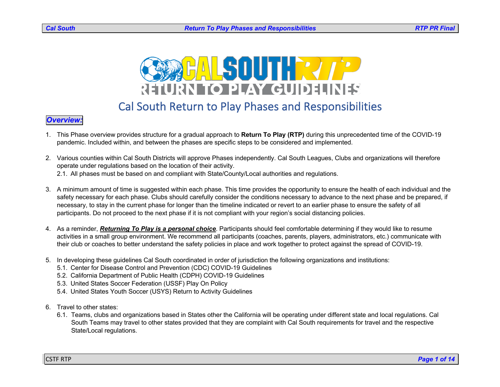

## Cal South Return to Play Phases and Responsibilities

#### *Overview:*

- 1. This Phase overview provides structure for a gradual approach to **Return To Play (RTP)** during this unprecedented time of the COVID-19 pandemic. Included within, and between the phases are specific steps to be considered and implemented.
- 2. Various counties within Cal South Districts will approve Phases independently. Cal South Leagues, Clubs and organizations will therefore operate under regulations based on the location of their activity. 2.1. All phases must be based on and compliant with State/County/Local authorities and regulations.
- 3. A minimum amount of time is suggested within each phase. This time provides the opportunity to ensure the health of each individual and the safety necessary for each phase. Clubs should carefully consider the conditions necessary to advance to the next phase and be prepared, if necessary, to stay in the current phase for longer than the timeline indicated or revert to an earlier phase to ensure the safety of all participants. Do not proceed to the next phase if it is not compliant with your region's social distancing policies.
- 4. As a reminder, *Returning To Play is a personal choice*. Participants should feel comfortable determining if they would like to resume activities in a small group environment. We recommend all participants (coaches, parents, players, administrators, etc.) communicate with their club or coaches to better understand the safety policies in place and work together to protect against the spread of COVID-19.
- 5. In developing these guidelines Cal South coordinated in order of jurisdiction the following organizations and institutions:
	- 5.1. Center for Disease Control and Prevention (CDC) COVID-19 Guidelines
	- 5.2. California Department of Public Health (CDPH) COVID-19 Guidelines
	- 5.3. United States Soccer Federation (USSF) Play On Policy
	- 5.4. United States Youth Soccer (USYS) Return to Activity Guidelines
- 6. Travel to other states:
	- 6.1. Teams, clubs and organizations based in States other the California will be operating under different state and local regulations. Cal South Teams may travel to other states provided that they are complaint with Cal South requirements for travel and the respective State/Local regulations.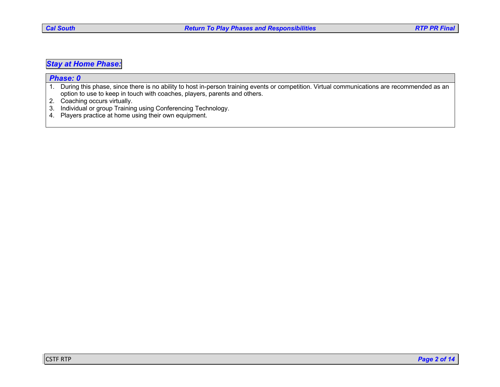### *Stay at Home Phase:*

| <b>Phase: 0</b> |                                                                                                                                             |  |
|-----------------|---------------------------------------------------------------------------------------------------------------------------------------------|--|
|                 | During this phase, since there is no ability to host in-person training events or competition. Virtual communications are recommended as an |  |
|                 | option to use to keep in touch with coaches, players, parents and others.                                                                   |  |
|                 | Coaching occurs virtually.                                                                                                                  |  |
|                 | 3. Individual or group Training using Conferencing Technology.                                                                              |  |
|                 | 4. Players practice at home using their own equipment.                                                                                      |  |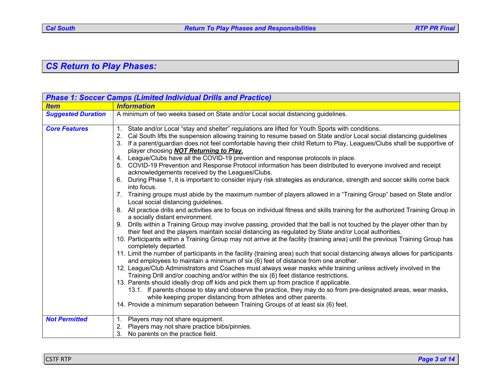# *CS Return to Play Phases:*

| <b>Phase 1: Soccer Camps (Limited Individual Drills and Practice)</b> |                                                                                                                                                                                                                                                                                                                                                                                                                                                                                                                                                                                                                                                                                                                                                                                                                                                                                                                                                                                                                                                                                                                                                                                                                                                                                                                                                                                                                                                                                                                                                                                                                                                                                                                                                                                                                                                                                                                                                                                                                                                                                                                                                                                                                                                                                                                                                           |  |
|-----------------------------------------------------------------------|-----------------------------------------------------------------------------------------------------------------------------------------------------------------------------------------------------------------------------------------------------------------------------------------------------------------------------------------------------------------------------------------------------------------------------------------------------------------------------------------------------------------------------------------------------------------------------------------------------------------------------------------------------------------------------------------------------------------------------------------------------------------------------------------------------------------------------------------------------------------------------------------------------------------------------------------------------------------------------------------------------------------------------------------------------------------------------------------------------------------------------------------------------------------------------------------------------------------------------------------------------------------------------------------------------------------------------------------------------------------------------------------------------------------------------------------------------------------------------------------------------------------------------------------------------------------------------------------------------------------------------------------------------------------------------------------------------------------------------------------------------------------------------------------------------------------------------------------------------------------------------------------------------------------------------------------------------------------------------------------------------------------------------------------------------------------------------------------------------------------------------------------------------------------------------------------------------------------------------------------------------------------------------------------------------------------------------------------------------------|--|
| <b>Item</b>                                                           | <b>Information</b>                                                                                                                                                                                                                                                                                                                                                                                                                                                                                                                                                                                                                                                                                                                                                                                                                                                                                                                                                                                                                                                                                                                                                                                                                                                                                                                                                                                                                                                                                                                                                                                                                                                                                                                                                                                                                                                                                                                                                                                                                                                                                                                                                                                                                                                                                                                                        |  |
| <b>Suggested Duration</b>                                             | A minimum of two weeks based on State and/or Local social distancing guidelines.                                                                                                                                                                                                                                                                                                                                                                                                                                                                                                                                                                                                                                                                                                                                                                                                                                                                                                                                                                                                                                                                                                                                                                                                                                                                                                                                                                                                                                                                                                                                                                                                                                                                                                                                                                                                                                                                                                                                                                                                                                                                                                                                                                                                                                                                          |  |
| <b>Core Features</b>                                                  | 1. State and/or Local "stay and shelter" regulations are lifted for Youth Sports with conditions.<br>Cal South lifts the suspension allowing training to resume based on State and/or Local social distancing guidelines<br>If a parent/guardian does not feel comfortable having their child Return to Play, Leagues/Clubs shall be supportive of<br>3.<br>player choosing <b>NOT Returning to Play.</b><br>4. League/Clubs have all the COVID-19 prevention and response protocols in place.<br>COVID-19 Prevention and Response Protocol information has been distributed to everyone involved and receipt<br>acknowledgements received by the Leagues/Clubs.<br>During Phase 1, it is important to consider injury risk strategies as endurance, strength and soccer skills come back<br>into focus.<br>7. Training groups must abide by the maximum number of players allowed in a "Training Group" based on State and/or<br>Local social distancing guidelines.<br>8. All practice drills and activities are to focus on individual fitness and skills training for the authorized Training Group in<br>a socially distant environment.<br>Drills within a Training Group may involve passing, provided that the ball is not touched by the player other than by<br>9.<br>their feet and the players maintain social distancing as regulated by State and/or Local authorities.<br>10. Participants within a Training Group may not arrive at the facility (training area) until the previous Training Group has<br>completely departed.<br>11. Limit the number of participants in the facility (training area) such that social distancing always allows for participants<br>and employees to maintain a minimum of six (6) feet of distance from one another.<br>12. League/Club Administrators and Coaches must always wear masks while training unless actively involved in the<br>Training Drill and/or coaching and/or within the six (6) feet distance restrictions.<br>13. Parents should ideally drop off kids and pick them up from practice if applicable.<br>13.1. If parents choose to stay and observe the practice, they may do so from pre-designated areas, wear masks,<br>while keeping proper distancing from athletes and other parents.<br>14. Provide a minimum separation between Training Groups of at least six (6) feet. |  |
| <b>Not Permitted</b>                                                  | 1. Players may not share equipment.<br>2. Players may not share practice bibs/pinnies.<br>3.<br>No parents on the practice field.                                                                                                                                                                                                                                                                                                                                                                                                                                                                                                                                                                                                                                                                                                                                                                                                                                                                                                                                                                                                                                                                                                                                                                                                                                                                                                                                                                                                                                                                                                                                                                                                                                                                                                                                                                                                                                                                                                                                                                                                                                                                                                                                                                                                                         |  |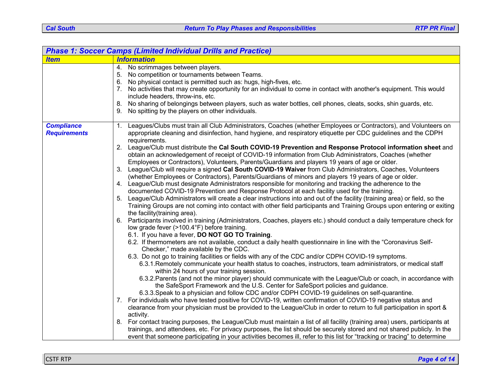| <b>Phase 1: Soccer Camps (Limited Individual Drills and Practice)</b> |                                                                                                                                                                                                                                                                                                                                                                                                                                                                                                                                                                                                                                                                                                                                                                                                                                                                                                                                                                                                                                                                                                                                                                                                                                                                                                                                                                                                                                                                                                                                                                                                                                                                                                                                                                                                                                                                                                                                                                                                                                                                                                                                                                                                                                                                                                                                                                                                                                                                                                                                                                                                                                                                                                                                                                                                                                                                                                                                              |  |
|-----------------------------------------------------------------------|----------------------------------------------------------------------------------------------------------------------------------------------------------------------------------------------------------------------------------------------------------------------------------------------------------------------------------------------------------------------------------------------------------------------------------------------------------------------------------------------------------------------------------------------------------------------------------------------------------------------------------------------------------------------------------------------------------------------------------------------------------------------------------------------------------------------------------------------------------------------------------------------------------------------------------------------------------------------------------------------------------------------------------------------------------------------------------------------------------------------------------------------------------------------------------------------------------------------------------------------------------------------------------------------------------------------------------------------------------------------------------------------------------------------------------------------------------------------------------------------------------------------------------------------------------------------------------------------------------------------------------------------------------------------------------------------------------------------------------------------------------------------------------------------------------------------------------------------------------------------------------------------------------------------------------------------------------------------------------------------------------------------------------------------------------------------------------------------------------------------------------------------------------------------------------------------------------------------------------------------------------------------------------------------------------------------------------------------------------------------------------------------------------------------------------------------------------------------------------------------------------------------------------------------------------------------------------------------------------------------------------------------------------------------------------------------------------------------------------------------------------------------------------------------------------------------------------------------------------------------------------------------------------------------------------------------|--|
| <b>Item</b>                                                           | <b>Information</b>                                                                                                                                                                                                                                                                                                                                                                                                                                                                                                                                                                                                                                                                                                                                                                                                                                                                                                                                                                                                                                                                                                                                                                                                                                                                                                                                                                                                                                                                                                                                                                                                                                                                                                                                                                                                                                                                                                                                                                                                                                                                                                                                                                                                                                                                                                                                                                                                                                                                                                                                                                                                                                                                                                                                                                                                                                                                                                                           |  |
|                                                                       | 4. No scrimmages between players.<br>5. No competition or tournaments between Teams.<br>6. No physical contact is permitted such as: hugs, high-fives, etc.<br>7. No activities that may create opportunity for an individual to come in contact with another's equipment. This would<br>include headers, throw-ins, etc.<br>8. No sharing of belongings between players, such as water bottles, cell phones, cleats, socks, shin guards, etc.<br>9. No spitting by the players on other individuals.                                                                                                                                                                                                                                                                                                                                                                                                                                                                                                                                                                                                                                                                                                                                                                                                                                                                                                                                                                                                                                                                                                                                                                                                                                                                                                                                                                                                                                                                                                                                                                                                                                                                                                                                                                                                                                                                                                                                                                                                                                                                                                                                                                                                                                                                                                                                                                                                                                        |  |
| <b>Compliance</b><br><b>Requirements</b>                              | 1. Leagues/Clubs must train all Club Administrators, Coaches (whether Employees or Contractors), and Volunteers on<br>appropriate cleaning and disinfection, hand hygiene, and respiratory etiquette per CDC guidelines and the CDPH<br>requirements.<br>2. League/Club must distribute the Cal South COVID-19 Prevention and Response Protocol information sheet and<br>obtain an acknowledgement of receipt of COVID-19 information from Club Administrators, Coaches (whether<br>Employees or Contractors), Volunteers, Parents/Guardians and players 19 years of age or older.<br>3. League/Club will require a signed Cal South COVID-19 Waiver from Club Administrators, Coaches, Volunteers<br>(whether Employees or Contractors), Parents/Guardians of minors and players 19 years of age or older.<br>4. League/Club must designate Administrators responsible for monitoring and tracking the adherence to the<br>documented COVID-19 Prevention and Response Protocol at each facility used for the training.<br>5. League/Club Administrators will create a clear instructions into and out of the facility (training area) or field, so the<br>Training Groups are not coming into contact with other field participants and Training Groups upon entering or exiting<br>the facility (training area).<br>6. Participants involved in training (Administrators, Coaches, players etc.) should conduct a daily temperature check for<br>low grade fever (>100.4°F) before training.<br>6.1. If you have a fever, DO NOT GO TO Training.<br>6.2. If thermometers are not available, conduct a daily health questionnaire in line with the "Coronavirus Self-<br>Checker," made available by the CDC.<br>6.3. Do not go to training facilities or fields with any of the CDC and/or CDPH COVID-19 symptoms.<br>6.3.1. Remotely communicate your health status to coaches, instructors, team administrators, or medical staff<br>within 24 hours of your training session.<br>6.3.2. Parents (and not the minor player) should communicate with the League/Club or coach, in accordance with<br>the SafeSport Framework and the U.S. Center for SafeSport policies and guidance.<br>6.3.3. Speak to a physician and follow CDC and/or CDPH COVID-19 guidelines on self-quarantine.<br>7. For individuals who have tested positive for COVID-19, written confirmation of COVID-19 negative status and<br>clearance from your physician must be provided to the League/Club in order to return to full participation in sport &<br>activity.<br>8. For contact tracing purposes, the League/Club must maintain a list of all facility (training area) users, participants at<br>trainings, and attendees, etc. For privacy purposes, the list should be securely stored and not shared publicly. In the<br>event that someone participating in your activities becomes ill, refer to this list for "tracking or tracing" to determine |  |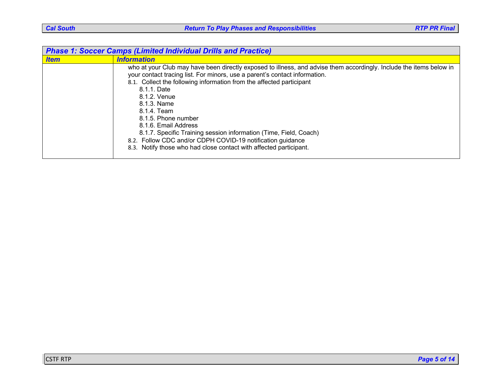| <b>Phase 1: Soccer Camps (Limited Individual Drills and Practice)</b> |                                                                                                                                                                                                                                                                                                                                                                                                                                                                                                                                                                                                |
|-----------------------------------------------------------------------|------------------------------------------------------------------------------------------------------------------------------------------------------------------------------------------------------------------------------------------------------------------------------------------------------------------------------------------------------------------------------------------------------------------------------------------------------------------------------------------------------------------------------------------------------------------------------------------------|
| <b>Item</b>                                                           | <b>Information</b>                                                                                                                                                                                                                                                                                                                                                                                                                                                                                                                                                                             |
|                                                                       | who at your Club may have been directly exposed to illness, and advise them accordingly. Include the items below in<br>your contact tracing list. For minors, use a parent's contact information.<br>8.1. Collect the following information from the affected participant<br>8.1.1. Date<br>8.1.2. Venue<br>8.1.3. Name<br>8.1.4. Team<br>8.1.5. Phone number<br>8.1.6. Email Address<br>8.1.7. Specific Training session information (Time, Field, Coach)<br>8.2. Follow CDC and/or CDPH COVID-19 notification guidance<br>8.3. Notify those who had close contact with affected participant. |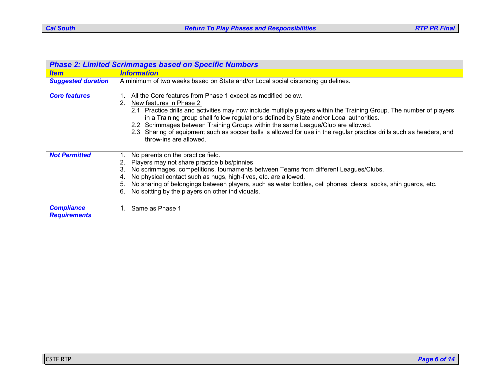| <b>Phase 2: Limited Scrimmages based on Specific Numbers</b> |                                                                                                                                                                                                                                                                                                                                                                                                                                                                                                                                                           |  |
|--------------------------------------------------------------|-----------------------------------------------------------------------------------------------------------------------------------------------------------------------------------------------------------------------------------------------------------------------------------------------------------------------------------------------------------------------------------------------------------------------------------------------------------------------------------------------------------------------------------------------------------|--|
| <b>Item</b>                                                  | <i><b>Information</b></i>                                                                                                                                                                                                                                                                                                                                                                                                                                                                                                                                 |  |
| <b>Suggested duration</b>                                    | A minimum of two weeks based on State and/or Local social distancing guidelines.                                                                                                                                                                                                                                                                                                                                                                                                                                                                          |  |
| <b>Core features</b>                                         | All the Core features from Phase 1 except as modified below.<br>2.<br>New features in Phase 2:<br>2.1. Practice drills and activities may now include multiple players within the Training Group. The number of players<br>in a Training group shall follow regulations defined by State and/or Local authorities.<br>2.2. Scrimmages between Training Groups within the same League/Club are allowed.<br>2.3. Sharing of equipment such as soccer balls is allowed for use in the regular practice drills such as headers, and<br>throw-ins are allowed. |  |
| <b>Not Permitted</b>                                         | No parents on the practice field.<br>Players may not share practice bibs/pinnies.<br>2.<br>No scrimmages, competitions, tournaments between Teams from different Leagues/Clubs.<br>3.<br>No physical contact such as hugs, high-fives, etc. are allowed.<br>4.<br>No sharing of belongings between players, such as water bottles, cell phones, cleats, socks, shin guards, etc.<br>5.<br>No spitting by the players on other individuals.<br>6.                                                                                                          |  |
| <b>Compliance</b><br><b>Requirements</b>                     | 1. Same as Phase 1                                                                                                                                                                                                                                                                                                                                                                                                                                                                                                                                        |  |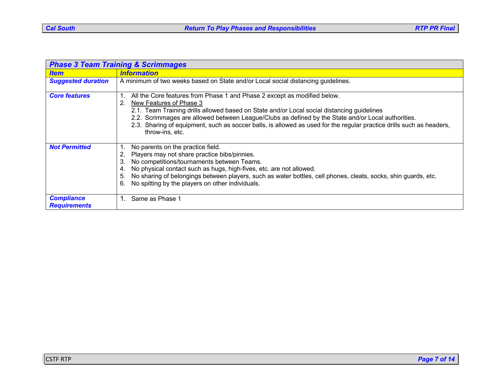| <b>Phase 3 Team Training &amp; Scrimmages</b> |                                                                                                                                                                                                                                                                                                                                                                                                                                                          |  |
|-----------------------------------------------|----------------------------------------------------------------------------------------------------------------------------------------------------------------------------------------------------------------------------------------------------------------------------------------------------------------------------------------------------------------------------------------------------------------------------------------------------------|--|
| <b>Item</b>                                   | <b>Information</b>                                                                                                                                                                                                                                                                                                                                                                                                                                       |  |
| <b>Suggested duration</b>                     | A minimum of two weeks based on State and/or Local social distancing guidelines.                                                                                                                                                                                                                                                                                                                                                                         |  |
| <b>Core features</b>                          | All the Core features from Phase 1 and Phase 2 except as modified below.<br>New Features of Phase 3<br>2.<br>2.1. Team Training drills allowed based on State and/or Local social distancing guidelines<br>2.2. Scrimmages are allowed between League/Clubs as defined by the State and/or Local authorities.<br>2.3. Sharing of equipment, such as soccer balls, is allowed as used for the regular practice drills such as headers,<br>throw-ins, etc. |  |
| <b>Not Permitted</b>                          | No parents on the practice field.<br>2. Players may not share practice bibs/pinnies.<br>3. No competitions/tournaments between Teams.<br>No physical contact such as hugs, high-fives, etc. are not allowed.<br>4.<br>5. No sharing of belongings between players, such as water bottles, cell phones, cleats, socks, shin guards, etc.<br>No spitting by the players on other individuals.<br>6.                                                        |  |
| <b>Compliance</b><br><b>Requirements</b>      | Same as Phase 1<br>1.                                                                                                                                                                                                                                                                                                                                                                                                                                    |  |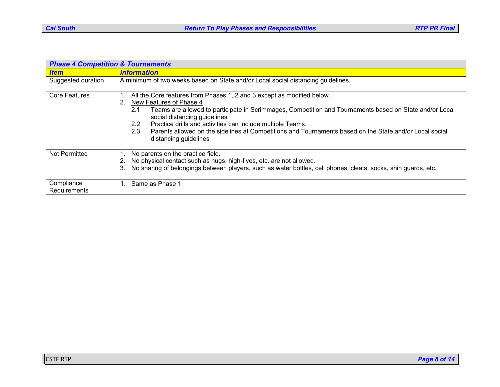| <b>Phase 4 Competition &amp; Tournaments</b> |                                                                                                                                                                                                                                                                                                                                                                                                                                                                                    |  |
|----------------------------------------------|------------------------------------------------------------------------------------------------------------------------------------------------------------------------------------------------------------------------------------------------------------------------------------------------------------------------------------------------------------------------------------------------------------------------------------------------------------------------------------|--|
| <b>Item</b>                                  | <b>Information</b>                                                                                                                                                                                                                                                                                                                                                                                                                                                                 |  |
| Suggested duration                           | A minimum of two weeks based on State and/or Local social distancing guidelines.                                                                                                                                                                                                                                                                                                                                                                                                   |  |
| <b>Core Features</b>                         | All the Core features from Phases 1, 2 and 3 except as modified below.<br>.1<br>New Features of Phase 4<br>2.<br>Teams are allowed to participate in Scrimmages, Competition and Tournaments based on State and/or Local<br>2.1.<br>social distancing guidelines<br>Practice drills and activities can include multiple Teams.<br>2.2.<br>Parents allowed on the sidelines at Competitions and Tournaments based on the State and/or Local social<br>2.3.<br>distancing guidelines |  |
| Not Permitted                                | No parents on the practice field.<br>No physical contact such as hugs, high-fives, etc. are not allowed.<br>2.<br>No sharing of belongings between players, such as water bottles, cell phones, cleats, socks, shin guards, etc.<br>3.                                                                                                                                                                                                                                             |  |
| Compliance<br>Requirements                   | Same as Phase 1                                                                                                                                                                                                                                                                                                                                                                                                                                                                    |  |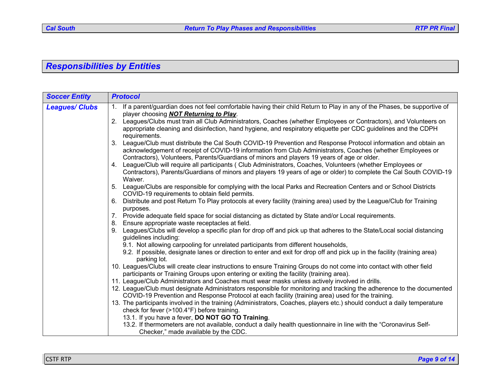# *Responsibilities by Entities*

| 1. If a parent/guardian does not feel comfortable having their child Return to Play in any of the Phases, be supportive of<br><b>Leagues/ Clubs</b><br>player choosing <b>NOT Returning to Play</b> .<br>Leagues/Clubs must train all Club Administrators, Coaches (whether Employees or Contractors), and Volunteers on<br>2.<br>appropriate cleaning and disinfection, hand hygiene, and respiratory etiquette per CDC quidelines and the CDPH<br>requirements.<br>League/Club must distribute the Cal South COVID-19 Prevention and Response Protocol information and obtain an<br>3.<br>acknowledgement of receipt of COVID-19 information from Club Administrators, Coaches (whether Employees or<br>Contractors), Volunteers, Parents/Guardians of minors and players 19 years of age or older. | <b>Soccer Entity</b> | <b>Protocol</b>                                                                                                    |
|-------------------------------------------------------------------------------------------------------------------------------------------------------------------------------------------------------------------------------------------------------------------------------------------------------------------------------------------------------------------------------------------------------------------------------------------------------------------------------------------------------------------------------------------------------------------------------------------------------------------------------------------------------------------------------------------------------------------------------------------------------------------------------------------------------|----------------------|--------------------------------------------------------------------------------------------------------------------|
|                                                                                                                                                                                                                                                                                                                                                                                                                                                                                                                                                                                                                                                                                                                                                                                                       |                      |                                                                                                                    |
|                                                                                                                                                                                                                                                                                                                                                                                                                                                                                                                                                                                                                                                                                                                                                                                                       |                      |                                                                                                                    |
|                                                                                                                                                                                                                                                                                                                                                                                                                                                                                                                                                                                                                                                                                                                                                                                                       |                      |                                                                                                                    |
|                                                                                                                                                                                                                                                                                                                                                                                                                                                                                                                                                                                                                                                                                                                                                                                                       |                      |                                                                                                                    |
|                                                                                                                                                                                                                                                                                                                                                                                                                                                                                                                                                                                                                                                                                                                                                                                                       |                      |                                                                                                                    |
| 4. League/Club will require all participants (Club Administrators, Coaches, Volunteers (whether Employees or                                                                                                                                                                                                                                                                                                                                                                                                                                                                                                                                                                                                                                                                                          |                      |                                                                                                                    |
| Waiver.                                                                                                                                                                                                                                                                                                                                                                                                                                                                                                                                                                                                                                                                                                                                                                                               |                      | Contractors), Parents/Guardians of minors and players 19 years of age or older) to complete the Cal South COVID-19 |
| League/Clubs are responsible for complying with the local Parks and Recreation Centers and or School Districts<br>5.<br>COVID-19 requirements to obtain field permits.                                                                                                                                                                                                                                                                                                                                                                                                                                                                                                                                                                                                                                |                      |                                                                                                                    |
| Distribute and post Return To Play protocols at every facility (training area) used by the League/Club for Training<br>6.<br>purposes.                                                                                                                                                                                                                                                                                                                                                                                                                                                                                                                                                                                                                                                                |                      |                                                                                                                    |
| 7. Provide adequate field space for social distancing as dictated by State and/or Local requirements.                                                                                                                                                                                                                                                                                                                                                                                                                                                                                                                                                                                                                                                                                                 |                      |                                                                                                                    |
| Ensure appropriate waste receptacles at field.<br>8.                                                                                                                                                                                                                                                                                                                                                                                                                                                                                                                                                                                                                                                                                                                                                  |                      |                                                                                                                    |
| Leagues/Clubs will develop a specific plan for drop off and pick up that adheres to the State/Local social distancing<br>guidelines including:                                                                                                                                                                                                                                                                                                                                                                                                                                                                                                                                                                                                                                                        |                      |                                                                                                                    |
| 9.1. Not allowing carpooling for unrelated participants from different households,                                                                                                                                                                                                                                                                                                                                                                                                                                                                                                                                                                                                                                                                                                                    |                      |                                                                                                                    |
| 9.2. If possible, designate lanes or direction to enter and exit for drop off and pick up in the facility (training area)<br>parking lot.                                                                                                                                                                                                                                                                                                                                                                                                                                                                                                                                                                                                                                                             |                      |                                                                                                                    |
| 10. Leagues/Clubs will create clear instructions to ensure Training Groups do not come into contact with other field                                                                                                                                                                                                                                                                                                                                                                                                                                                                                                                                                                                                                                                                                  |                      |                                                                                                                    |
| participants or Training Groups upon entering or exiting the facility (training area).                                                                                                                                                                                                                                                                                                                                                                                                                                                                                                                                                                                                                                                                                                                |                      |                                                                                                                    |
| 11. League/Club Administrators and Coaches must wear masks unless actively involved in drills.                                                                                                                                                                                                                                                                                                                                                                                                                                                                                                                                                                                                                                                                                                        |                      |                                                                                                                    |
| 12. League/Club must designate Administrators responsible for monitoring and tracking the adherence to the documented<br>COVID-19 Prevention and Response Protocol at each facility (training area) used for the training.                                                                                                                                                                                                                                                                                                                                                                                                                                                                                                                                                                            |                      |                                                                                                                    |
| 13. The participants involved in the training (Administrators, Coaches, players etc.) should conduct a daily temperature                                                                                                                                                                                                                                                                                                                                                                                                                                                                                                                                                                                                                                                                              |                      |                                                                                                                    |
| check for fever (>100.4°F) before training.                                                                                                                                                                                                                                                                                                                                                                                                                                                                                                                                                                                                                                                                                                                                                           |                      |                                                                                                                    |
| 13.1. If you have a fever, DO NOT GO TO Training.                                                                                                                                                                                                                                                                                                                                                                                                                                                                                                                                                                                                                                                                                                                                                     |                      |                                                                                                                    |
| 13.2. If thermometers are not available, conduct a daily health questionnaire in line with the "Coronavirus Self-<br>Checker," made available by the CDC.                                                                                                                                                                                                                                                                                                                                                                                                                                                                                                                                                                                                                                             |                      |                                                                                                                    |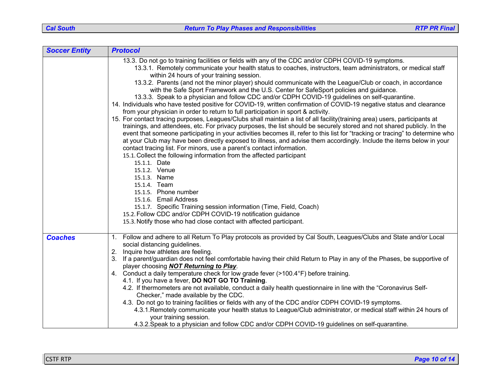| <b>Soccer Entity</b> | <b>Protocol</b>                                                                                                                                                                           |
|----------------------|-------------------------------------------------------------------------------------------------------------------------------------------------------------------------------------------|
|                      | 13.3. Do not go to training facilities or fields with any of the CDC and/or CDPH COVID-19 symptoms.                                                                                       |
|                      | 13.3.1. Remotely communicate your health status to coaches, instructors, team administrators, or medical staff                                                                            |
|                      | within 24 hours of your training session.                                                                                                                                                 |
|                      | 13.3.2. Parents (and not the minor player) should communicate with the League/Club or coach, in accordance                                                                                |
|                      | with the Safe Sport Framework and the U.S. Center for SafeSport policies and guidance.<br>13.3.3. Speak to a physician and follow CDC and/or CDPH COVID-19 guidelines on self-quarantine. |
|                      | 14. Individuals who have tested positive for COVID-19, written confirmation of COVID-19 negative status and clearance                                                                     |
|                      | from your physician in order to return to full participation in sport & activity.                                                                                                         |
|                      | 15. For contact tracing purposes, Leagues/Clubs shall maintain a list of all facility(training area) users, participants at                                                               |
|                      | trainings, and attendees, etc. For privacy purposes, the list should be securely stored and not shared publicly. In the                                                                   |
|                      | event that someone participating in your activities becomes ill, refer to this list for "tracking or tracing" to determine who                                                            |
|                      | at your Club may have been directly exposed to illness, and advise them accordingly. Include the items below in your                                                                      |
|                      | contact tracing list. For minors, use a parent's contact information.                                                                                                                     |
|                      | 15.1. Collect the following information from the affected participant                                                                                                                     |
|                      | 15.1.1. Date                                                                                                                                                                              |
|                      | 15.1.2. Venue<br>15.1.3. Name                                                                                                                                                             |
|                      | 15.1.4. Team                                                                                                                                                                              |
|                      | 15.1.5. Phone number                                                                                                                                                                      |
|                      | 15.1.6. Email Address                                                                                                                                                                     |
|                      | 15.1.7. Specific Training session information (Time, Field, Coach)                                                                                                                        |
|                      | 15.2. Follow CDC and/or CDPH COVID-19 notification guidance                                                                                                                               |
|                      | 15.3. Notify those who had close contact with affected participant.                                                                                                                       |
|                      | 1. Follow and adhere to all Return To Play protocols as provided by Cal South, Leagues/Clubs and State and/or Local                                                                       |
| <b>Coaches</b>       | social distancing guidelines.                                                                                                                                                             |
|                      | Inquire how athletes are feeling.<br>2.                                                                                                                                                   |
|                      | 3. If a parent/guardian does not feel comfortable having their child Return to Play in any of the Phases, be supportive of                                                                |
|                      | player choosing <b>NOT Returning to Play</b> .                                                                                                                                            |
|                      | 4. Conduct a daily temperature check for low grade fever (>100.4°F) before training.                                                                                                      |
|                      | 4.1. If you have a fever, DO NOT GO TO Training.                                                                                                                                          |
|                      | 4.2. If thermometers are not available, conduct a daily health questionnaire in line with the "Coronavirus Self-                                                                          |
|                      | Checker," made available by the CDC.<br>4.3. Do not go to training facilities or fields with any of the CDC and/or CDPH COVID-19 symptoms.                                                |
|                      | 4.3.1. Remotely communicate your health status to League/Club administrator, or medical staff within 24 hours of                                                                          |
|                      | your training session.                                                                                                                                                                    |
|                      | 4.3.2. Speak to a physician and follow CDC and/or CDPH COVID-19 guidelines on self-quarantine.                                                                                            |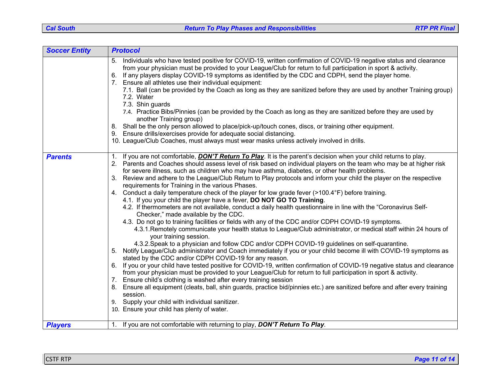| <b>Soccer Entity</b> | <b>Protocol</b>                                                                                                                                                                                                                                                                                                                                                                                                                                                                                                                                                                                                                                                                                                                                                                                                                                                                                                                                                                                                                                                                                                                                                                                                                                                                                                                                                                                                                                                                                                                                                                                                                                                                                                                                                                                                                                                                                                                                                                   |
|----------------------|-----------------------------------------------------------------------------------------------------------------------------------------------------------------------------------------------------------------------------------------------------------------------------------------------------------------------------------------------------------------------------------------------------------------------------------------------------------------------------------------------------------------------------------------------------------------------------------------------------------------------------------------------------------------------------------------------------------------------------------------------------------------------------------------------------------------------------------------------------------------------------------------------------------------------------------------------------------------------------------------------------------------------------------------------------------------------------------------------------------------------------------------------------------------------------------------------------------------------------------------------------------------------------------------------------------------------------------------------------------------------------------------------------------------------------------------------------------------------------------------------------------------------------------------------------------------------------------------------------------------------------------------------------------------------------------------------------------------------------------------------------------------------------------------------------------------------------------------------------------------------------------------------------------------------------------------------------------------------------------|
|                      | Individuals who have tested positive for COVID-19, written confirmation of COVID-19 negative status and clearance<br>5.<br>from your physician must be provided to your League/Club for return to full participation in sport & activity.<br>If any players display COVID-19 symptoms as identified by the CDC and CDPH, send the player home.<br>6.<br>7. Ensure all athletes use their individual equipment:<br>7.1. Ball (can be provided by the Coach as long as they are sanitized before they are used by another Training group)<br>7.2. Water<br>7.3. Shin guards<br>7.4. Practice Bibs/Pinnies (can be provided by the Coach as long as they are sanitized before they are used by<br>another Training group)<br>8. Shall be the only person allowed to place/pick-up/touch cones, discs, or training other equipment.<br>9. Ensure drills/exercises provide for adequate social distancing.<br>10. League/Club Coaches, must always must wear masks unless actively involved in drills.                                                                                                                                                                                                                                                                                                                                                                                                                                                                                                                                                                                                                                                                                                                                                                                                                                                                                                                                                                                 |
| <b>Parents</b>       | 1. If you are not comfortable, <b>DON'T Return To Play</b> . It is the parent's decision when your child returns to play.<br>2. Parents and Coaches should assess level of risk based on individual players on the team who may be at higher risk<br>for severe illness, such as children who may have asthma, diabetes, or other health problems.<br>3. Review and adhere to the League/Club Return to Play protocols and inform your child the player on the respective<br>requirements for Training in the various Phases.<br>4. Conduct a daily temperature check of the player for low grade fever (>100.4°F) before training.<br>4.1. If you your child the player have a fever, DO NOT GO TO Training.<br>4.2. If thermometers are not available, conduct a daily health questionnaire in line with the "Coronavirus Self-<br>Checker," made available by the CDC.<br>4.3. Do not go to training facilities or fields with any of the CDC and/or CDPH COVID-19 symptoms.<br>4.3.1. Remotely communicate your health status to League/Club administrator, or medical staff within 24 hours of<br>your training session.<br>4.3.2. Speak to a physician and follow CDC and/or CDPH COVID-19 guidelines on self-quarantine.<br>5. Notify League/Club administrator and Coach immediately if you or your child become ill with COVID-19 symptoms as<br>stated by the CDC and/or CDPH COVID-19 for any reason.<br>6. If you or your child have tested positive for COVID-19, written confirmation of COVID-19 negative status and clearance<br>from your physician must be provided to your League/Club for return to full participation in sport & activity.<br>7. Ensure child's clothing is washed after every training session<br>8. Ensure all equipment (cleats, ball, shin guards, practice bid/pinnies etc.) are sanitized before and after every training<br>session.<br>9. Supply your child with individual sanitizer.<br>10. Ensure your child has plenty of water. |
| <b>Players</b>       | 1. If you are not comfortable with returning to play, DON'T Return To Play.                                                                                                                                                                                                                                                                                                                                                                                                                                                                                                                                                                                                                                                                                                                                                                                                                                                                                                                                                                                                                                                                                                                                                                                                                                                                                                                                                                                                                                                                                                                                                                                                                                                                                                                                                                                                                                                                                                       |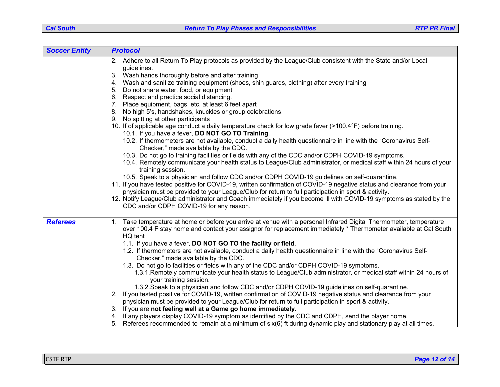| <b>Soccer Entity</b> | <b>Protocol</b>                                                                                                                                                                                                                                                                                                                                                                                                                                                                                                                                                                                                                                                                                                                                                                                                                                                                                                                                                                                                                                                                                                                                                                                                                                                                                                                                                                                                                                                                                                         |
|----------------------|-------------------------------------------------------------------------------------------------------------------------------------------------------------------------------------------------------------------------------------------------------------------------------------------------------------------------------------------------------------------------------------------------------------------------------------------------------------------------------------------------------------------------------------------------------------------------------------------------------------------------------------------------------------------------------------------------------------------------------------------------------------------------------------------------------------------------------------------------------------------------------------------------------------------------------------------------------------------------------------------------------------------------------------------------------------------------------------------------------------------------------------------------------------------------------------------------------------------------------------------------------------------------------------------------------------------------------------------------------------------------------------------------------------------------------------------------------------------------------------------------------------------------|
|                      | 2. Adhere to all Return To Play protocols as provided by the League/Club consistent with the State and/or Local<br>guidelines.<br>Wash hands thoroughly before and after training<br>3.<br>Wash and sanitize training equipment (shoes, shin guards, clothing) after every training<br>4.<br>Do not share water, food, or equipment<br>Respect and practice social distancing.<br>7. Place equipment, bags, etc. at least 6 feet apart<br>No high 5's, handshakes, knuckles or group celebrations.<br>8.<br>No spitting at other participants<br>9.<br>10. If of applicable age conduct a daily temperature check for low grade fever (>100.4°F) before training.<br>10.1. If you have a fever, DO NOT GO TO Training.<br>10.2. If thermometers are not available, conduct a daily health questionnaire in line with the "Coronavirus Self-<br>Checker," made available by the CDC.<br>10.3. Do not go to training facilities or fields with any of the CDC and/or CDPH COVID-19 symptoms.<br>10.4. Remotely communicate your health status to League/Club administrator, or medical staff within 24 hours of your<br>training session.<br>10.5. Speak to a physician and follow CDC and/or CDPH COVID-19 guidelines on self-quarantine.<br>11. If you have tested positive for COVID-19, written confirmation of COVID-19 negative status and clearance from your<br>physician must be provided to your League/Club for return to full participation in sport & activity.                                              |
| <b>Referees</b>      | 12. Notify League/Club administrator and Coach immediately if you become ill with COVID-19 symptoms as stated by the<br>CDC and/or CDPH COVID-19 for any reason.<br>1. Take temperature at home or before you arrive at venue with a personal Infrared Digital Thermometer, temperature<br>over 100.4 F stay home and contact your assignor for replacement immediately * Thermometer available at Cal South<br>HQ tent<br>1.1. If you have a fever, DO NOT GO TO the facility or field.<br>1.2. If thermometers are not available, conduct a daily health questionnaire in line with the "Coronavirus Self-<br>Checker," made available by the CDC.<br>1.3. Do not go to facilities or fields with any of the CDC and/or CDPH COVID-19 symptoms.<br>1.3.1. Remotely communicate your health status to League/Club administrator, or medical staff within 24 hours of<br>your training session.<br>1.3.2. Speak to a physician and follow CDC and/or CDPH COVID-19 guidelines on self-quarantine.<br>2. If you tested positive for COVID-19, written confirmation of COVID-19 negative status and clearance from your<br>physician must be provided to your League/Club for return to full participation in sport & activity.<br>If you are not feeling well at a Game go home immediately.<br>If any players display COVID-19 symptom as identified by the CDC and CDPH, send the player home.<br>Referees recommended to remain at a minimum of six(6) ft during dynamic play and stationary play at all times.<br>5. |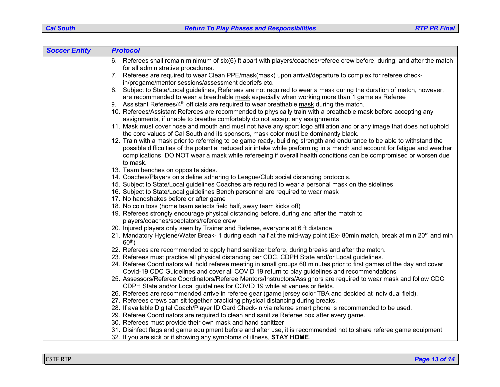| <b>Soccer Entity</b> | <b>Protocol</b>                                                                                                                                                                         |
|----------------------|-----------------------------------------------------------------------------------------------------------------------------------------------------------------------------------------|
|                      | 6. Referees shall remain minimum of six(6) ft apart with players/coaches/referee crew before, during, and after the match<br>for all administrative procedures.                         |
|                      | 7. Referees are required to wear Clean PPE/mask(mask) upon arrival/departure to complex for referee check-                                                                              |
|                      | in/pregame/mentor sessions/assessment debriefs etc.                                                                                                                                     |
|                      | 8. Subject to State/Local guidelines, Referees are not required to wear a mask during the duration of match, however,                                                                   |
|                      | are recommended to wear a breathable mask especially when working more than 1 game as Referee                                                                                           |
|                      | 9. Assistant Referees/4 <sup>th</sup> officials are required to wear breathable mask during the match.                                                                                  |
|                      | 10. Referees/Assistant Referees are recommended to physically train with a breathable mask before accepting any                                                                         |
|                      | assignments, if unable to breathe comfortably do not accept any assignments                                                                                                             |
|                      | 11. Mask must cover nose and mouth and must not have any sport logo affiliation and or any image that does not uphold                                                                   |
|                      | the core values of Cal South and its sponsors, mask color must be dominantly black.                                                                                                     |
|                      | 12. Train with a mask prior to referreing to be game ready, building strength and endurance to be able to withstand the                                                                 |
|                      | possible difficulties of the potential reduced air intake while preforming in a match and account for fatigue and weather                                                               |
|                      | complications. DO NOT wear a mask while refereeing if overall health conditions can be compromised or worsen due                                                                        |
|                      | to mask.                                                                                                                                                                                |
|                      | 13. Team benches on opposite sides.                                                                                                                                                     |
|                      | 14. Coaches/Players on sideline adhering to League/Club social distancing protocols.                                                                                                    |
|                      | 15. Subject to State/Local guidelines Coaches are required to wear a personal mask on the sidelines.<br>16. Subject to State/Local guidelines Bench personnel are required to wear mask |
|                      | 17. No handshakes before or after game                                                                                                                                                  |
|                      | 18. No coin toss (home team selects field half, away team kicks off)                                                                                                                    |
|                      | 19. Referees strongly encourage physical distancing before, during and after the match to                                                                                               |
|                      | players/coaches/spectators/referee crew                                                                                                                                                 |
|                      | 20. Injured players only seen by Trainer and Referee, everyone at 6 ft distance                                                                                                         |
|                      | 21. Mandatory Hygiene/Water Break- 1 during each half at the mid-way point (Ex-80min match, break at min 20 <sup>rd</sup> and min                                                       |
|                      | $60th$ )                                                                                                                                                                                |
|                      | 22. Referees are recommended to apply hand sanitizer before, during breaks and after the match.                                                                                         |
|                      | 23. Referees must practice all physical distancing per CDC, CDPH State and/or Local guidelines.                                                                                         |
|                      | 24. Referee Coordinators will hold referee meeting in small groups 60 minutes prior to first games of the day and cover                                                                 |
|                      | Covid-19 CDC Guidelines and cover all COVID 19 return to play guidelines and recommendations                                                                                            |
|                      | 25. Assessors/Referee Coordinators/Referee Mentors/Instructors/Assignors are required to wear mask and follow CDC                                                                       |
|                      | CDPH State and/or Local guidelines for COVID 19 while at venues or fields.                                                                                                              |
|                      | 26. Referees are recommended arrive in referee gear (game jersey color TBA and decided at individual field).                                                                            |
|                      | 27. Referees crews can sit together practicing physical distancing during breaks.                                                                                                       |
|                      | 28. If available Digital Coach/Player ID Card Check-in via referee smart phone is recommended to be used.                                                                               |
|                      | 29. Referee Coordinators are required to clean and sanitize Referee box after every game.<br>30. Referees must provide their own mask and hand sanitizer                                |
|                      | 31. Disinfect flags and game equipment before and after use, it is recommended not to share referee game equipment                                                                      |
|                      | 32. If you are sick or if showing any symptoms of illness, STAY HOME.                                                                                                                   |
|                      |                                                                                                                                                                                         |